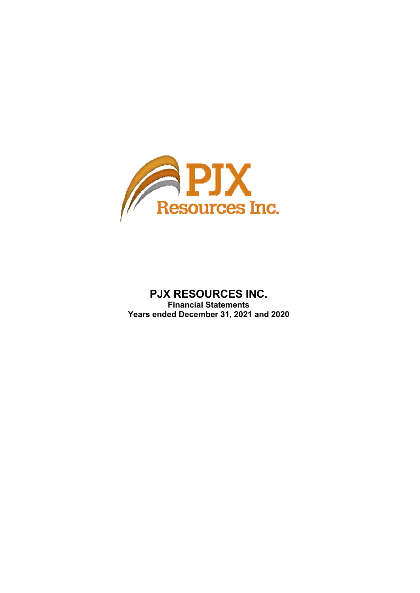

## **PJX RESOURCES INC.**

**Financial Statements Years ended December 31, 2021 and 2020**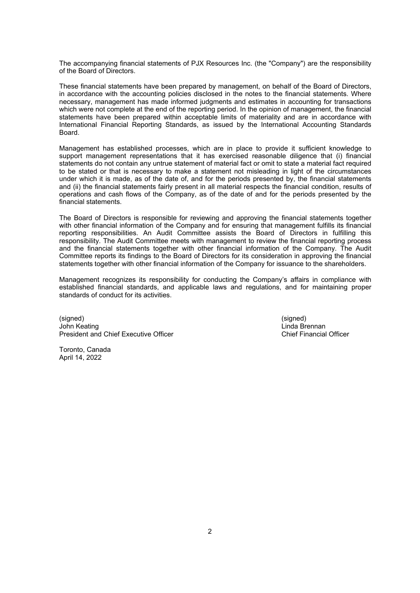The accompanying financial statements of PJX Resources Inc. (the "Company") are the responsibility of the Board of Directors.

These financial statements have been prepared by management, on behalf of the Board of Directors, in accordance with the accounting policies disclosed in the notes to the financial statements. Where necessary, management has made informed judgments and estimates in accounting for transactions which were not complete at the end of the reporting period. In the opinion of management, the financial statements have been prepared within acceptable limits of materiality and are in accordance with International Financial Reporting Standards, as issued by the International Accounting Standards Board.

Management has established processes, which are in place to provide it sufficient knowledge to support management representations that it has exercised reasonable diligence that (i) financial statements do not contain any untrue statement of material fact or omit to state a material fact required to be stated or that is necessary to make a statement not misleading in light of the circumstances under which it is made, as of the date of, and for the periods presented by, the financial statements and (ii) the financial statements fairly present in all material respects the financial condition, results of operations and cash flows of the Company, as of the date of and for the periods presented by the financial statements.

The Board of Directors is responsible for reviewing and approving the financial statements together with other financial information of the Company and for ensuring that management fulfills its financial reporting responsibilities. An Audit Committee assists the Board of Directors in fulfilling this responsibility. The Audit Committee meets with management to review the financial reporting process and the financial statements together with other financial information of the Company. The Audit Committee reports its findings to the Board of Directors for its consideration in approving the financial statements together with other financial information of the Company for issuance to the shareholders.

Management recognizes its responsibility for conducting the Company's affairs in compliance with established financial standards, and applicable laws and regulations, and for maintaining proper standards of conduct for its activities.

(signed) (signed) John Keating Linda Brennan President and Chief Executive Officer

Toronto, Canada April 14, 2022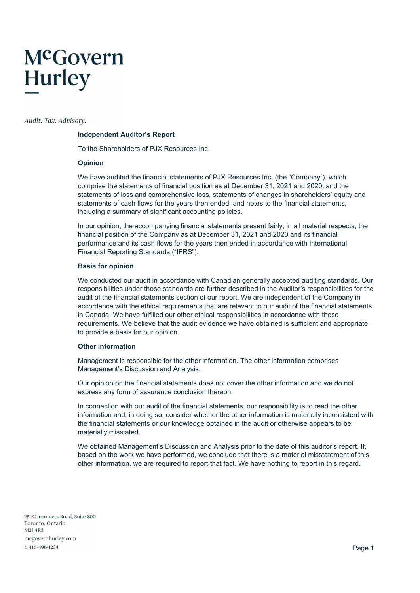## McGovern **Hurley**

Audit. Tax. Advisory.

## **Independent Auditor's Report**

To the Shareholders of PJX Resources Inc.

## **Opinion**

We have audited the financial statements of PJX Resources Inc. (the "Company"), which comprise the statements of financial position as at December 31, 2021 and 2020, and the statements of loss and comprehensive loss, statements of changes in shareholders' equity and statements of cash flows for the years then ended, and notes to the financial statements, including a summary of significant accounting policies.

In our opinion, the accompanying financial statements present fairly, in all material respects, the financial position of the Company as at December 31, 2021 and 2020 and its financial performance and its cash flows for the years then ended in accordance with International Financial Reporting Standards ("IFRS").

#### **Basis for opinion**

We conducted our audit in accordance with Canadian generally accepted auditing standards. Our responsibilities under those standards are further described in the Auditor's responsibilities for the audit of the financial statements section of our report. We are independent of the Company in accordance with the ethical requirements that are relevant to our audit of the financial statements in Canada. We have fulfilled our other ethical responsibilities in accordance with these requirements. We believe that the audit evidence we have obtained is sufficient and appropriate to provide a basis for our opinion.

#### **Other information**

Management is responsible for the other information. The other information comprises Management's Discussion and Analysis.

Our opinion on the financial statements does not cover the other information and we do not express any form of assurance conclusion thereon.

In connection with our audit of the financial statements, our responsibility is to read the other information and, in doing so, consider whether the other information is materially inconsistent with the financial statements or our knowledge obtained in the audit or otherwise appears to be materially misstated.

We obtained Management's Discussion and Analysis prior to the date of this auditor's report. If, based on the work we have performed, we conclude that there is a material misstatement of this other information, we are required to report that fact. We have nothing to report in this regard.

251 Consumers Road, Suite 800 Toronto, Ontario M2J 4R3 mcgovernhurley.com t. 416-496-1234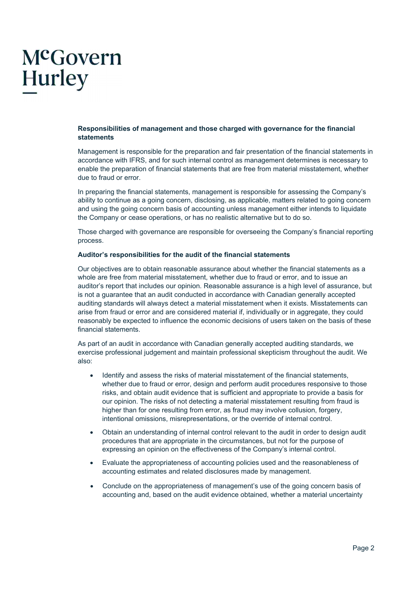# McGovern Hurley

## **Responsibilities of management and those charged with governance for the financial statements**

Management is responsible for the preparation and fair presentation of the financial statements in accordance with IFRS, and for such internal control as management determines is necessary to enable the preparation of financial statements that are free from material misstatement, whether due to fraud or error.

In preparing the financial statements, management is responsible for assessing the Company's ability to continue as a going concern, disclosing, as applicable, matters related to going concern and using the going concern basis of accounting unless management either intends to liquidate the Company or cease operations, or has no realistic alternative but to do so.

Those charged with governance are responsible for overseeing the Company's financial reporting process.

#### **Auditor's responsibilities for the audit of the financial statements**

Our objectives are to obtain reasonable assurance about whether the financial statements as a whole are free from material misstatement, whether due to fraud or error, and to issue an auditor's report that includes our opinion. Reasonable assurance is a high level of assurance, but is not a guarantee that an audit conducted in accordance with Canadian generally accepted auditing standards will always detect a material misstatement when it exists. Misstatements can arise from fraud or error and are considered material if, individually or in aggregate, they could reasonably be expected to influence the economic decisions of users taken on the basis of these financial statements.

As part of an audit in accordance with Canadian generally accepted auditing standards, we exercise professional judgement and maintain professional skepticism throughout the audit. We also:

- Identify and assess the risks of material misstatement of the financial statements, whether due to fraud or error, design and perform audit procedures responsive to those risks, and obtain audit evidence that is sufficient and appropriate to provide a basis for our opinion. The risks of not detecting a material misstatement resulting from fraud is higher than for one resulting from error, as fraud may involve collusion, forgery, intentional omissions, misrepresentations, or the override of internal control.
- Obtain an understanding of internal control relevant to the audit in order to design audit procedures that are appropriate in the circumstances, but not for the purpose of expressing an opinion on the effectiveness of the Company's internal control.
- Evaluate the appropriateness of accounting policies used and the reasonableness of accounting estimates and related disclosures made by management.
- Conclude on the appropriateness of management's use of the going concern basis of accounting and, based on the audit evidence obtained, whether a material uncertainty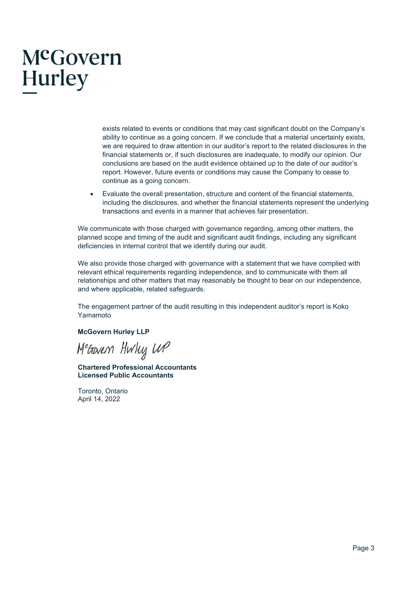## McGovern Hurley

exists related to events or conditions that may cast significant doubt on the Company's ability to continue as a going concern. If we conclude that a material uncertainty exists, we are required to draw attention in our auditor's report to the related disclosures in the financial statements or, if such disclosures are inadequate, to modify our opinion. Our conclusions are based on the audit evidence obtained up to the date of our auditor's report. However, future events or conditions may cause the Company to cease to continue as a going concern.

 Evaluate the overall presentation, structure and content of the financial statements, including the disclosures, and whether the financial statements represent the underlying transactions and events in a manner that achieves fair presentation.

We communicate with those charged with governance regarding, among other matters, the planned scope and timing of the audit and significant audit findings, including any significant deficiencies in internal control that we identify during our audit.

We also provide those charged with governance with a statement that we have complied with relevant ethical requirements regarding independence, and to communicate with them all relationships and other matters that may reasonably be thought to bear on our independence, and where applicable, related safeguards.

The engagement partner of the audit resulting in this independent auditor's report is Koko Yamamoto

**McGovern Hurley LLP**

Metroven Hwlug WP

## **Chartered Professional Accountants Licensed Public Accountants**

Toronto, Ontario April 14, 2022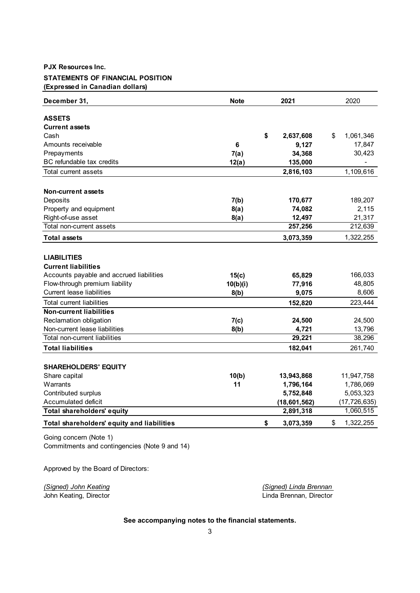## **PJX Resources Inc. STATEMENTS OF FINANCIAL POSITION (Expressed in Canadian dollars)**

| December 31,                               | <b>Note</b> | 2021                        | 2020                        |
|--------------------------------------------|-------------|-----------------------------|-----------------------------|
| <b>ASSETS</b>                              |             |                             |                             |
| <b>Current assets</b>                      |             |                             |                             |
| Cash                                       |             | \$<br>2,637,608             | \$<br>1,061,346             |
| Amounts receivable                         | 6           | 9,127                       | 17,847                      |
| Prepayments                                | 7(a)        | 34,368                      | 30,423                      |
| BC refundable tax credits                  | 12(a)       | 135,000                     |                             |
| Total current assets                       |             | 2,816,103                   | 1,109,616                   |
| <b>Non-current assets</b>                  |             |                             |                             |
| Deposits                                   | 7(b)        | 170,677                     | 189,207                     |
| Property and equipment                     | 8(a)        | 74,082                      | 2,115                       |
| Right-of-use asset                         | 8(a)        | 12,497                      | 21,317                      |
| Total non-current assets                   |             | 257,256                     | 212,639                     |
|                                            |             |                             |                             |
| <b>Total assets</b>                        |             | 3,073,359                   | 1,322,255                   |
| <b>LIABILITIES</b>                         |             |                             |                             |
| <b>Current liabilities</b>                 |             |                             |                             |
| Accounts payable and accrued liabilities   | 15(c)       | 65,829                      | 166,033                     |
| Flow-through premium liability             | 10(b)(i)    | 77,916                      | 48,805                      |
| <b>Current lease liabilities</b>           | 8(b)        | 9,075                       | 8,606                       |
| Total current liabilities                  |             | 152,820                     | 223,444                     |
| <b>Non-current liabilities</b>             |             |                             |                             |
| Reclamation obligation                     | 7(c)        | 24,500                      | 24,500                      |
| Non-current lease liabilities              | 8(b)        | 4,721                       | 13,796                      |
| Total non-current liabilities              |             | 29,221                      | 38,296                      |
| <b>Total liabilities</b>                   |             | 182,041                     | 261,740                     |
|                                            |             |                             |                             |
| <b>SHAREHOLDERS' EQUITY</b>                |             |                             |                             |
| Share capital                              | 10(b)       | 13,943,868                  | 11,947,758                  |
| Warrants<br>Contributed surplus            | 11          | 1,796,164                   | 1,786,069                   |
| Accumulated deficit                        |             | 5,752,848<br>(18, 601, 562) | 5,053,323<br>(17, 726, 635) |
| <b>Total shareholders' equity</b>          |             | 2,891,318                   | 1,060,515                   |
|                                            |             |                             |                             |
| Total shareholders' equity and liabilities |             | \$<br>3,073,359             | \$<br>1,322,255             |

Going concern (Note 1) Commitments and contingencies (Note 9 and 14)

Approved by the Board of Directors:

John Keating, Director **Linda Brennan, Director** Linda Brennan, Director

*(Signed) John Keating (Signed) Linda Brennan*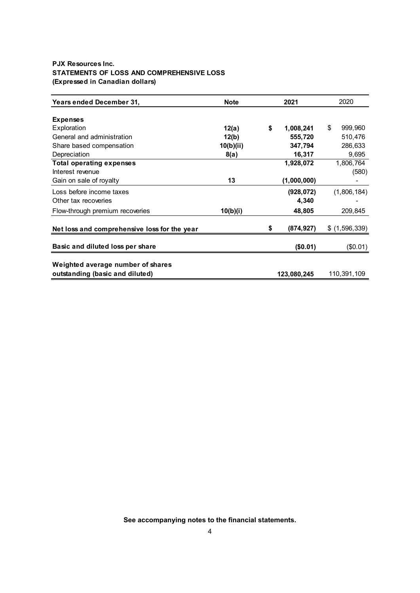## **PJX Resources Inc. STATEMENTS OF LOSS AND COMPREHENSIVE LOSS (Expressed in Canadian dollars)**

| <b>Years ended December 31,</b>              | <b>Note</b> | 2021             | 2020          |
|----------------------------------------------|-------------|------------------|---------------|
|                                              |             |                  |               |
| <b>Expenses</b>                              |             |                  |               |
| Exploration                                  | 12(a)       | \$<br>1,008,241  | \$<br>999,960 |
| General and administration                   | 12(b)       | 555,720          | 510,476       |
| Share based compensation                     | 10(b)(ii)   | 347,794          | 286,633       |
| Depreciation                                 | 8(a)        | 16,317           | 9,695         |
| <b>Total operating expenses</b>              |             | 1,928,072        | 1,806,764     |
| Interest revenue                             |             |                  | (580)         |
| Gain on sale of royalty                      | 13          | (1,000,000)      |               |
| Loss before income taxes                     |             | (928, 072)       | (1,806,184)   |
| Other tax recoveries                         |             | 4,340            |               |
| Flow-through premium recoveries              | 10(b)(i)    | 48,805           | 209,845       |
|                                              |             | \$<br>(874, 927) | \$(1,596,339) |
| Net loss and comprehensive loss for the year |             |                  |               |
| Basic and diluted loss per share             |             | (\$0.01)         | (\$0.01)      |
|                                              |             |                  |               |
| Weighted average number of shares            |             |                  |               |
| outstanding (basic and diluted)              |             | 123,080,245      | 110,391,109   |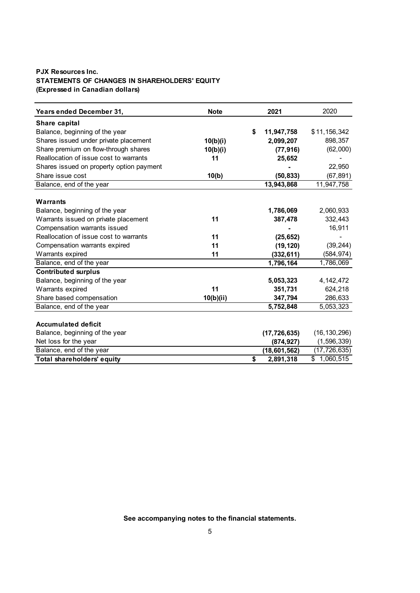## **PJX Resources Inc. STATEMENTS OF CHANGES IN SHAREHOLDERS' EQUITY (Expressed in Canadian dollars)**

| Years ended December 31,                 | <b>Note</b> | 2021             | 2020            |
|------------------------------------------|-------------|------------------|-----------------|
| Share capital                            |             |                  |                 |
| Balance, beginning of the year           |             | \$<br>11,947,758 | \$11,156,342    |
| Shares issued under private placement    | 10(b)(i)    | 2,099,207        | 898,357         |
| Share premium on flow-through shares     | 10(b)(i)    | (77, 916)        | (62,000)        |
| Reallocation of issue cost to warrants   | 11          | 25,652           |                 |
| Shares issued on property option payment |             |                  | 22,950          |
| Share issue cost                         | 10(b)       | (50, 833)        | (67, 891)       |
| Balance, end of the year                 |             | 13,943,868       | 11,947,758      |
| <b>Warrants</b>                          |             |                  |                 |
| Balance, beginning of the year           |             | 1,786,069        | 2,060,933       |
| Warrants issued on private placement     | 11          | 387,478          | 332,443         |
| Compensation warrants issued             |             |                  | 16,911          |
| Reallocation of issue cost to warrants   | 11          |                  |                 |
|                                          |             | (25, 652)        |                 |
| Compensation warrants expired            | 11          | (19, 120)        | (39, 244)       |
| Warrants expired                         | 11          | (332, 611)       | (584, 974)      |
| Balance, end of the year                 |             | 1,796,164        | 1,786,069       |
| <b>Contributed surplus</b>               |             |                  |                 |
| Balance, beginning of the year           |             | 5,053,323        | 4, 142, 472     |
| Warrants expired                         | 11          | 351,731          | 624,218         |
| Share based compensation                 | 10(b)(ii)   | 347,794          | 286,633         |
| Balance, end of the year                 |             | 5,752,848        | 5,053,323       |
| <b>Accumulated deficit</b>               |             |                  |                 |
| Balance, beginning of the year           |             | (17, 726, 635)   | (16, 130, 296)  |
| Net loss for the year                    |             | (874, 927)       | (1, 596, 339)   |
| Balance, end of the year                 |             | (18,601,562)     | (17, 726, 635)  |
| <b>Total shareholders' equity</b>        |             | \$<br>2,891,318  | \$<br>1,060,515 |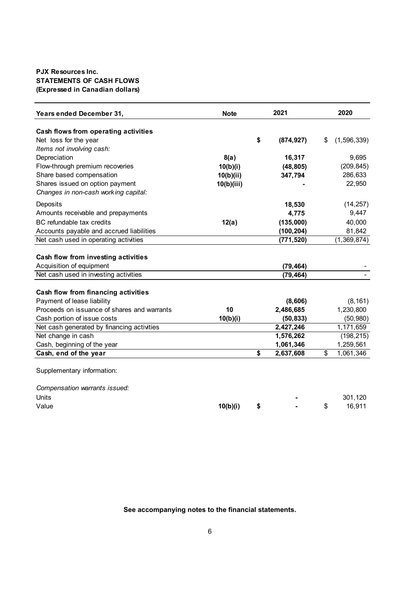## **PJX Resources Inc. STATEMENTS OF CASH FLOWS (Expressed in Canadian dollars)**

| Years ended December 31,                                                                                         | <b>Note</b> | 2021                 |    | 2020                  |
|------------------------------------------------------------------------------------------------------------------|-------------|----------------------|----|-----------------------|
| Cash flows from operating activities                                                                             |             |                      |    |                       |
| Net loss for the year                                                                                            |             | \$<br>(874, 927)     | \$ | (1,596,339)           |
| Items not involving cash:                                                                                        |             |                      |    |                       |
| Depreciation                                                                                                     | 8(a)        | 16,317               |    | 9,695                 |
| Flow-through premium recoveries                                                                                  | 10(b)(i)    | (48, 805)            |    | (209, 845)            |
| Share based compensation                                                                                         | 10(b)(ii)   | 347,794              |    | 286,633               |
| Shares issued on option payment                                                                                  | 10(b)(iii)  |                      |    | 22,950                |
| Changes in non-cash working capital:                                                                             |             |                      |    |                       |
| Deposits                                                                                                         |             | 18,530               |    | (14, 257)             |
| Amounts receivable and prepayments                                                                               |             | 4,775                |    | 9,447                 |
| BC refundable tax credits                                                                                        | 12(a)       | (135,000)            |    | 40,000                |
| Accounts payable and accrued liabilities                                                                         |             | (100, 204)           |    | 81,842                |
| Net cash used in operating activities                                                                            |             | (771, 520)           |    | (1,369,874)           |
| Cash flow from investing activities<br>Acquisition of equipment                                                  |             | (79, 464)            |    |                       |
| Net cash used in investing activities                                                                            |             | (79, 464)            |    |                       |
| Cash flow from financing activities<br>Payment of lease liability<br>Proceeds on issuance of shares and warrants | 10          | (8,606)<br>2,486,685 |    | (8, 161)<br>1,230,800 |
| Cash portion of issue costs                                                                                      | 10(b)(i)    | (50, 833)            |    | (50, 980)             |
| Net cash generated by financing activities                                                                       |             | 2,427,246            |    | 1,171,659             |
| Net change in cash                                                                                               |             | 1,576,262            |    | (198, 215)            |
| Cash, beginning of the year                                                                                      |             | 1,061,346            |    | 1,259,561             |
| Cash, end of the year                                                                                            |             | \$<br>2,637,608      | \$ | 1,061,346             |
| Supplementary information:                                                                                       |             |                      |    |                       |
| Compensation warrants issued:                                                                                    |             |                      |    |                       |
| <b>Units</b>                                                                                                     |             |                      |    | 301,120               |
| Value                                                                                                            | 10(b)(i)    | \$                   | \$ | 16,911                |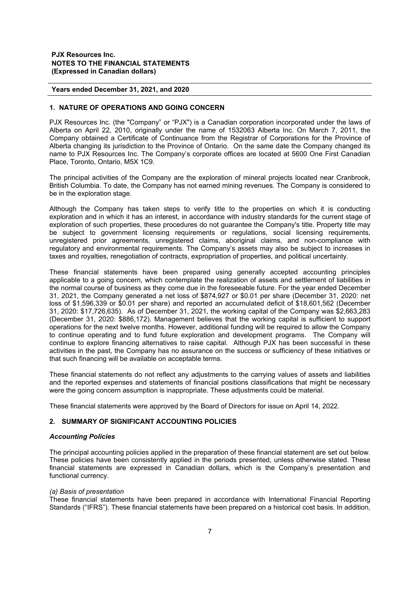## **Years ended December 31, 2021, and 2020**

#### **1. NATURE OF OPERATIONS AND GOING CONCERN**

PJX Resources Inc. (the "Company" or "PJX") is a Canadian corporation incorporated under the laws of Alberta on April 22, 2010, originally under the name of 1532063 Alberta Inc. On March 7, 2011, the Company obtained a Certificate of Continuance from the Registrar of Corporations for the Province of Alberta changing its jurisdiction to the Province of Ontario. On the same date the Company changed its name to PJX Resources Inc. The Company's corporate offices are located at 5600 One First Canadian Place, Toronto, Ontario, M5X 1C9.

The principal activities of the Company are the exploration of mineral projects located near Cranbrook, British Columbia. To date, the Company has not earned mining revenues. The Company is considered to be in the exploration stage.

Although the Company has taken steps to verify title to the properties on which it is conducting exploration and in which it has an interest, in accordance with industry standards for the current stage of exploration of such properties, these procedures do not guarantee the Company's title. Property title may be subject to government licensing requirements or regulations, social licensing requirements, unregistered prior agreements, unregistered claims, aboriginal claims, and non-compliance with regulatory and environmental requirements. The Company's assets may also be subject to increases in taxes and royalties, renegotiation of contracts, expropriation of properties, and political uncertainty.

These financial statements have been prepared using generally accepted accounting principles applicable to a going concern, which contemplate the realization of assets and settlement of liabilities in the normal course of business as they come due in the foreseeable future. For the year ended December 31, 2021, the Company generated a net loss of \$874,927 or \$0.01 per share (December 31, 2020: net loss of \$1,596,339 or \$0.01 per share) and reported an accumulated deficit of \$18,601,562 (December 31, 2020: \$17,726,635). As of December 31, 2021, the working capital of the Company was \$2,663,283 (December 31, 2020: \$886,172). Management believes that the working capital is sufficient to support operations for the next twelve months. However, additional funding will be required to allow the Company to continue operating and to fund future exploration and development programs. The Company will continue to explore financing alternatives to raise capital. Although PJX has been successful in these activities in the past, the Company has no assurance on the success or sufficiency of these initiatives or that such financing will be available on acceptable terms.

These financial statements do not reflect any adjustments to the carrying values of assets and liabilities and the reported expenses and statements of financial positions classifications that might be necessary were the going concern assumption is inappropriate. These adjustments could be material.

These financial statements were approved by the Board of Directors for issue on April 14, 2022.

## **2. SUMMARY OF SIGNIFICANT ACCOUNTING POLICIES**

#### *Accounting Policies*

The principal accounting policies applied in the preparation of these financial statement are set out below. These policies have been consistently applied in the periods presented, unless otherwise stated. These financial statements are expressed in Canadian dollars, which is the Company's presentation and functional currency.

#### *(a) Basis of presentation*

These financial statements have been prepared in accordance with International Financial Reporting Standards ("IFRS"). These financial statements have been prepared on a historical cost basis. In addition,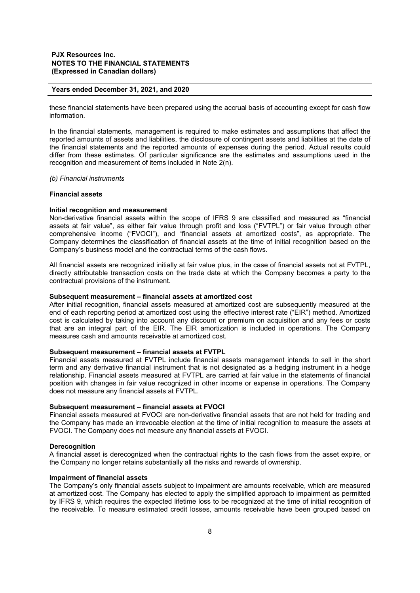## **Years ended December 31, 2021, and 2020**

these financial statements have been prepared using the accrual basis of accounting except for cash flow information.

In the financial statements, management is required to make estimates and assumptions that affect the reported amounts of assets and liabilities, the disclosure of contingent assets and liabilities at the date of the financial statements and the reported amounts of expenses during the period. Actual results could differ from these estimates. Of particular significance are the estimates and assumptions used in the recognition and measurement of items included in Note 2(n).

#### *(b) Financial instruments*

#### **Financial assets**

#### **Initial recognition and measurement**

Non-derivative financial assets within the scope of IFRS 9 are classified and measured as "financial assets at fair value", as either fair value through profit and loss ("FVTPL") or fair value through other comprehensive income ("FVOCI"), and "financial assets at amortized costs", as appropriate. The Company determines the classification of financial assets at the time of initial recognition based on the Company's business model and the contractual terms of the cash flows.

All financial assets are recognized initially at fair value plus, in the case of financial assets not at FVTPL, directly attributable transaction costs on the trade date at which the Company becomes a party to the contractual provisions of the instrument.

#### **Subsequent measurement – financial assets at amortized cost**

After initial recognition, financial assets measured at amortized cost are subsequently measured at the end of each reporting period at amortized cost using the effective interest rate ("EIR") method. Amortized cost is calculated by taking into account any discount or premium on acquisition and any fees or costs that are an integral part of the EIR. The EIR amortization is included in operations. The Company measures cash and amounts receivable at amortized cost.

#### **Subsequent measurement – financial assets at FVTPL**

Financial assets measured at FVTPL include financial assets management intends to sell in the short term and any derivative financial instrument that is not designated as a hedging instrument in a hedge relationship. Financial assets measured at FVTPL are carried at fair value in the statements of financial position with changes in fair value recognized in other income or expense in operations. The Company does not measure any financial assets at FVTPL.

#### **Subsequent measurement – financial assets at FVOCI**

Financial assets measured at FVOCI are non-derivative financial assets that are not held for trading and the Company has made an irrevocable election at the time of initial recognition to measure the assets at FVOCI. The Company does not measure any financial assets at FVOCI.

#### **Derecognition**

A financial asset is derecognized when the contractual rights to the cash flows from the asset expire, or the Company no longer retains substantially all the risks and rewards of ownership.

#### **Impairment of financial assets**

The Company's only financial assets subject to impairment are amounts receivable, which are measured at amortized cost. The Company has elected to apply the simplified approach to impairment as permitted by IFRS 9, which requires the expected lifetime loss to be recognized at the time of initial recognition of the receivable. To measure estimated credit losses, amounts receivable have been grouped based on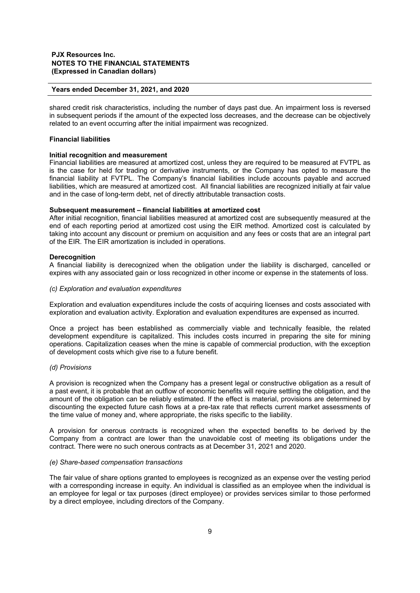## **Years ended December 31, 2021, and 2020**

shared credit risk characteristics, including the number of days past due. An impairment loss is reversed in subsequent periods if the amount of the expected loss decreases, and the decrease can be objectively related to an event occurring after the initial impairment was recognized.

#### **Financial liabilities**

#### **Initial recognition and measurement**

Financial liabilities are measured at amortized cost, unless they are required to be measured at FVTPL as is the case for held for trading or derivative instruments, or the Company has opted to measure the financial liability at FVTPL. The Company's financial liabilities include accounts payable and accrued liabilities, which are measured at amortized cost. All financial liabilities are recognized initially at fair value and in the case of long-term debt, net of directly attributable transaction costs.

#### **Subsequent measurement – financial liabilities at amortized cost**

After initial recognition, financial liabilities measured at amortized cost are subsequently measured at the end of each reporting period at amortized cost using the EIR method. Amortized cost is calculated by taking into account any discount or premium on acquisition and any fees or costs that are an integral part of the EIR. The EIR amortization is included in operations.

#### **Derecognition**

A financial liability is derecognized when the obligation under the liability is discharged, cancelled or expires with any associated gain or loss recognized in other income or expense in the statements of loss.

#### *(c) Exploration and evaluation expenditures*

Exploration and evaluation expenditures include the costs of acquiring licenses and costs associated with exploration and evaluation activity. Exploration and evaluation expenditures are expensed as incurred.

Once a project has been established as commercially viable and technically feasible, the related development expenditure is capitalized. This includes costs incurred in preparing the site for mining operations. Capitalization ceases when the mine is capable of commercial production, with the exception of development costs which give rise to a future benefit.

#### *(d) Provisions*

A provision is recognized when the Company has a present legal or constructive obligation as a result of a past event, it is probable that an outflow of economic benefits will require settling the obligation, and the amount of the obligation can be reliably estimated. If the effect is material, provisions are determined by discounting the expected future cash flows at a pre-tax rate that reflects current market assessments of the time value of money and, where appropriate, the risks specific to the liability.

A provision for onerous contracts is recognized when the expected benefits to be derived by the Company from a contract are lower than the unavoidable cost of meeting its obligations under the contract. There were no such onerous contracts as at December 31, 2021 and 2020.

#### *(e) Share-based compensation transactions*

The fair value of share options granted to employees is recognized as an expense over the vesting period with a corresponding increase in equity. An individual is classified as an employee when the individual is an employee for legal or tax purposes (direct employee) or provides services similar to those performed by a direct employee, including directors of the Company.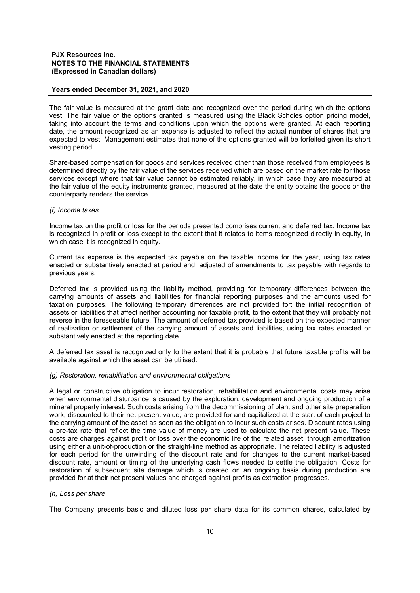## **Years ended December 31, 2021, and 2020**

The fair value is measured at the grant date and recognized over the period during which the options vest. The fair value of the options granted is measured using the Black Scholes option pricing model, taking into account the terms and conditions upon which the options were granted. At each reporting date, the amount recognized as an expense is adjusted to reflect the actual number of shares that are expected to vest. Management estimates that none of the options granted will be forfeited given its short vesting period.

Share-based compensation for goods and services received other than those received from employees is determined directly by the fair value of the services received which are based on the market rate for those services except where that fair value cannot be estimated reliably, in which case they are measured at the fair value of the equity instruments granted, measured at the date the entity obtains the goods or the counterparty renders the service.

#### *(f) Income taxes*

Income tax on the profit or loss for the periods presented comprises current and deferred tax. Income tax is recognized in profit or loss except to the extent that it relates to items recognized directly in equity, in which case it is recognized in equity.

Current tax expense is the expected tax payable on the taxable income for the year, using tax rates enacted or substantively enacted at period end, adjusted of amendments to tax payable with regards to previous years.

Deferred tax is provided using the liability method, providing for temporary differences between the carrying amounts of assets and liabilities for financial reporting purposes and the amounts used for taxation purposes. The following temporary differences are not provided for: the initial recognition of assets or liabilities that affect neither accounting nor taxable profit, to the extent that they will probably not reverse in the foreseeable future. The amount of deferred tax provided is based on the expected manner of realization or settlement of the carrying amount of assets and liabilities, using tax rates enacted or substantively enacted at the reporting date.

A deferred tax asset is recognized only to the extent that it is probable that future taxable profits will be available against which the asset can be utilised.

#### *(g) Restoration, rehabilitation and environmental obligations*

A legal or constructive obligation to incur restoration, rehabilitation and environmental costs may arise when environmental disturbance is caused by the exploration, development and ongoing production of a mineral property interest. Such costs arising from the decommissioning of plant and other site preparation work, discounted to their net present value, are provided for and capitalized at the start of each project to the carrying amount of the asset as soon as the obligation to incur such costs arises. Discount rates using a pre-tax rate that reflect the time value of money are used to calculate the net present value. These costs are charges against profit or loss over the economic life of the related asset, through amortization using either a unit-of-production or the straight-line method as appropriate. The related liability is adjusted for each period for the unwinding of the discount rate and for changes to the current market-based discount rate, amount or timing of the underlying cash flows needed to settle the obligation. Costs for restoration of subsequent site damage which is created on an ongoing basis during production are provided for at their net present values and charged against profits as extraction progresses.

#### *(h) Loss per share*

The Company presents basic and diluted loss per share data for its common shares, calculated by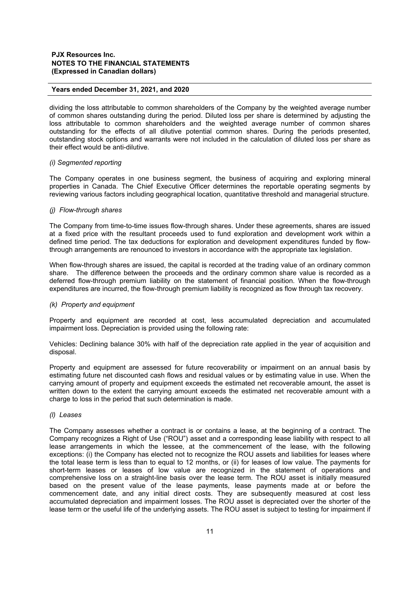## **Years ended December 31, 2021, and 2020**

dividing the loss attributable to common shareholders of the Company by the weighted average number of common shares outstanding during the period. Diluted loss per share is determined by adjusting the loss attributable to common shareholders and the weighted average number of common shares outstanding for the effects of all dilutive potential common shares. During the periods presented, outstanding stock options and warrants were not included in the calculation of diluted loss per share as their effect would be anti-dilutive.

#### *(i) Segmented reporting*

The Company operates in one business segment, the business of acquiring and exploring mineral properties in Canada. The Chief Executive Officer determines the reportable operating segments by reviewing various factors including geographical location, quantitative threshold and managerial structure.

#### *(j) Flow-through shares*

The Company from time-to-time issues flow-through shares. Under these agreements, shares are issued at a fixed price with the resultant proceeds used to fund exploration and development work within a defined time period. The tax deductions for exploration and development expenditures funded by flowthrough arrangements are renounced to investors in accordance with the appropriate tax legislation.

When flow-through shares are issued, the capital is recorded at the trading value of an ordinary common share. The difference between the proceeds and the ordinary common share value is recorded as a deferred flow-through premium liability on the statement of financial position. When the flow-through expenditures are incurred, the flow-through premium liability is recognized as flow through tax recovery.

#### *(k) Property and equipment*

Property and equipment are recorded at cost, less accumulated depreciation and accumulated impairment loss. Depreciation is provided using the following rate:

Vehicles: Declining balance 30% with half of the depreciation rate applied in the year of acquisition and disposal.

Property and equipment are assessed for future recoverability or impairment on an annual basis by estimating future net discounted cash flows and residual values or by estimating value in use. When the carrying amount of property and equipment exceeds the estimated net recoverable amount, the asset is written down to the extent the carrying amount exceeds the estimated net recoverable amount with a charge to loss in the period that such determination is made.

#### *(l) Leases*

The Company assesses whether a contract is or contains a lease, at the beginning of a contract. The Company recognizes a Right of Use ("ROU") asset and a corresponding lease liability with respect to all lease arrangements in which the lessee, at the commencement of the lease, with the following exceptions: (i) the Company has elected not to recognize the ROU assets and liabilities for leases where the total lease term is less than to equal to 12 months, or (ii) for leases of low value. The payments for short-term leases or leases of low value are recognized in the statement of operations and comprehensive loss on a straight-line basis over the lease term. The ROU asset is initially measured based on the present value of the lease payments, lease payments made at or before the commencement date, and any initial direct costs. They are subsequently measured at cost less accumulated depreciation and impairment losses. The ROU asset is depreciated over the shorter of the lease term or the useful life of the underlying assets. The ROU asset is subject to testing for impairment if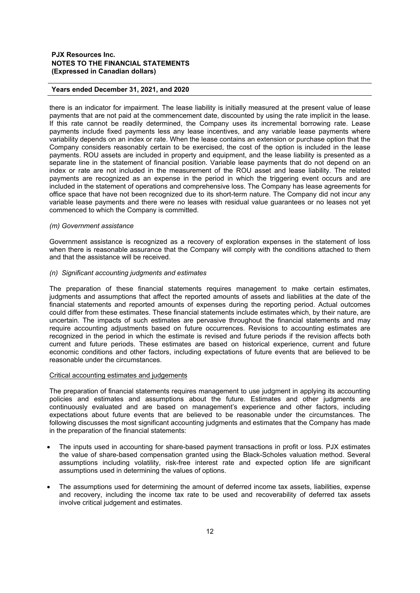## **Years ended December 31, 2021, and 2020**

there is an indicator for impairment. The lease liability is initially measured at the present value of lease payments that are not paid at the commencement date, discounted by using the rate implicit in the lease. If this rate cannot be readily determined, the Company uses its incremental borrowing rate. Lease payments include fixed payments less any lease incentives, and any variable lease payments where variability depends on an index or rate. When the lease contains an extension or purchase option that the Company considers reasonably certain to be exercised, the cost of the option is included in the lease payments. ROU assets are included in property and equipment, and the lease liability is presented as a separate line in the statement of financial position. Variable lease payments that do not depend on an index or rate are not included in the measurement of the ROU asset and lease liability. The related payments are recognized as an expense in the period in which the triggering event occurs and are included in the statement of operations and comprehensive loss. The Company has lease agreements for office space that have not been recognized due to its short-term nature. The Company did not incur any variable lease payments and there were no leases with residual value guarantees or no leases not yet commenced to which the Company is committed.

#### *(m) Government assistance*

Government assistance is recognized as a recovery of exploration expenses in the statement of loss when there is reasonable assurance that the Company will comply with the conditions attached to them and that the assistance will be received.

#### *(n) Significant accounting judgments and estimates*

The preparation of these financial statements requires management to make certain estimates, judgments and assumptions that affect the reported amounts of assets and liabilities at the date of the financial statements and reported amounts of expenses during the reporting period. Actual outcomes could differ from these estimates. These financial statements include estimates which, by their nature, are uncertain. The impacts of such estimates are pervasive throughout the financial statements and may require accounting adjustments based on future occurrences. Revisions to accounting estimates are recognized in the period in which the estimate is revised and future periods if the revision affects both current and future periods. These estimates are based on historical experience, current and future economic conditions and other factors, including expectations of future events that are believed to be reasonable under the circumstances.

#### Critical accounting estimates and judgements

The preparation of financial statements requires management to use judgment in applying its accounting policies and estimates and assumptions about the future. Estimates and other judgments are continuously evaluated and are based on management's experience and other factors, including expectations about future events that are believed to be reasonable under the circumstances. The following discusses the most significant accounting judgments and estimates that the Company has made in the preparation of the financial statements:

- The inputs used in accounting for share-based payment transactions in profit or loss. PJX estimates the value of share-based compensation granted using the Black-Scholes valuation method. Several assumptions including volatility, risk-free interest rate and expected option life are significant assumptions used in determining the values of options.
- The assumptions used for determining the amount of deferred income tax assets, liabilities, expense and recovery, including the income tax rate to be used and recoverability of deferred tax assets involve critical judgement and estimates.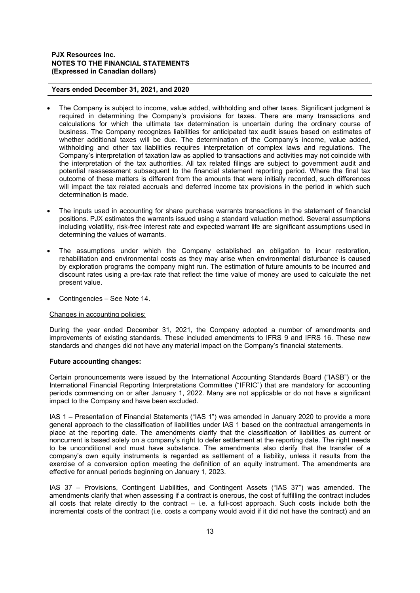## **Years ended December 31, 2021, and 2020**

- The Company is subject to income, value added, withholding and other taxes. Significant judgment is required in determining the Company's provisions for taxes. There are many transactions and calculations for which the ultimate tax determination is uncertain during the ordinary course of business. The Company recognizes liabilities for anticipated tax audit issues based on estimates of whether additional taxes will be due. The determination of the Company's income, value added, withholding and other tax liabilities requires interpretation of complex laws and regulations. The Company's interpretation of taxation law as applied to transactions and activities may not coincide with the interpretation of the tax authorities. All tax related filings are subject to government audit and potential reassessment subsequent to the financial statement reporting period. Where the final tax outcome of these matters is different from the amounts that were initially recorded, such differences will impact the tax related accruals and deferred income tax provisions in the period in which such determination is made.
- The inputs used in accounting for share purchase warrants transactions in the statement of financial positions. PJX estimates the warrants issued using a standard valuation method. Several assumptions including volatility, risk-free interest rate and expected warrant life are significant assumptions used in determining the values of warrants.
- The assumptions under which the Company established an obligation to incur restoration, rehabilitation and environmental costs as they may arise when environmental disturbance is caused by exploration programs the company might run. The estimation of future amounts to be incurred and discount rates using a pre-tax rate that reflect the time value of money are used to calculate the net present value.
- Contingencies See Note 14.

#### Changes in accounting policies:

During the year ended December 31, 2021, the Company adopted a number of amendments and improvements of existing standards. These included amendments to IFRS 9 and IFRS 16. These new standards and changes did not have any material impact on the Company's financial statements.

#### **Future accounting changes:**

Certain pronouncements were issued by the International Accounting Standards Board ("IASB") or the International Financial Reporting Interpretations Committee ("IFRIC") that are mandatory for accounting periods commencing on or after January 1, 2022. Many are not applicable or do not have a significant impact to the Company and have been excluded.

IAS 1 – Presentation of Financial Statements ("IAS 1") was amended in January 2020 to provide a more general approach to the classification of liabilities under IAS 1 based on the contractual arrangements in place at the reporting date. The amendments clarify that the classification of liabilities as current or noncurrent is based solely on a company's right to defer settlement at the reporting date. The right needs to be unconditional and must have substance. The amendments also clarify that the transfer of a company's own equity instruments is regarded as settlement of a liability, unless it results from the exercise of a conversion option meeting the definition of an equity instrument. The amendments are effective for annual periods beginning on January 1, 2023.

IAS 37 – Provisions, Contingent Liabilities, and Contingent Assets ("IAS 37") was amended. The amendments clarify that when assessing if a contract is onerous, the cost of fulfilling the contract includes all costs that relate directly to the contract – i.e. a full-cost approach. Such costs include both the incremental costs of the contract (i.e. costs a company would avoid if it did not have the contract) and an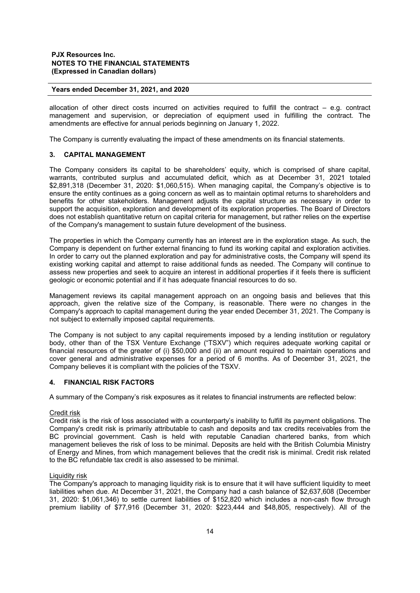## **Years ended December 31, 2021, and 2020**

allocation of other direct costs incurred on activities required to fulfill the contract – e.g. contract management and supervision, or depreciation of equipment used in fulfilling the contract. The amendments are effective for annual periods beginning on January 1, 2022.

The Company is currently evaluating the impact of these amendments on its financial statements.

## **3. CAPITAL MANAGEMENT**

The Company considers its capital to be shareholders' equity, which is comprised of share capital, warrants, contributed surplus and accumulated deficit, which as at December 31, 2021 totaled \$2,891,318 (December 31, 2020: \$1,060,515). When managing capital, the Company's objective is to ensure the entity continues as a going concern as well as to maintain optimal returns to shareholders and benefits for other stakeholders. Management adjusts the capital structure as necessary in order to support the acquisition, exploration and development of its exploration properties. The Board of Directors does not establish quantitative return on capital criteria for management, but rather relies on the expertise of the Company's management to sustain future development of the business.

The properties in which the Company currently has an interest are in the exploration stage. As such, the Company is dependent on further external financing to fund its working capital and exploration activities. In order to carry out the planned exploration and pay for administrative costs, the Company will spend its existing working capital and attempt to raise additional funds as needed. The Company will continue to assess new properties and seek to acquire an interest in additional properties if it feels there is sufficient geologic or economic potential and if it has adequate financial resources to do so.

Management reviews its capital management approach on an ongoing basis and believes that this approach, given the relative size of the Company, is reasonable. There were no changes in the Company's approach to capital management during the year ended December 31, 2021. The Company is not subject to externally imposed capital requirements.

The Company is not subject to any capital requirements imposed by a lending institution or regulatory body, other than of the TSX Venture Exchange ("TSXV") which requires adequate working capital or financial resources of the greater of (i) \$50,000 and (ii) an amount required to maintain operations and cover general and administrative expenses for a period of 6 months. As of December 31, 2021, the Company believes it is compliant with the policies of the TSXV.

## **4. FINANCIAL RISK FACTORS**

A summary of the Company's risk exposures as it relates to financial instruments are reflected below:

#### Credit risk

Credit risk is the risk of loss associated with a counterparty's inability to fulfill its payment obligations. The Company's credit risk is primarily attributable to cash and deposits and tax credits receivables from the BC provincial government. Cash is held with reputable Canadian chartered banks, from which management believes the risk of loss to be minimal. Deposits are held with the British Columbia Ministry of Energy and Mines, from which management believes that the credit risk is minimal. Credit risk related to the BC refundable tax credit is also assessed to be minimal.

#### Liquidity risk

The Company's approach to managing liquidity risk is to ensure that it will have sufficient liquidity to meet liabilities when due. At December 31, 2021, the Company had a cash balance of \$2,637,608 (December 31, 2020: \$1,061,346) to settle current liabilities of \$152,820 which includes a non-cash flow through premium liability of \$77,916 (December 31, 2020: \$223,444 and \$48,805, respectively). All of the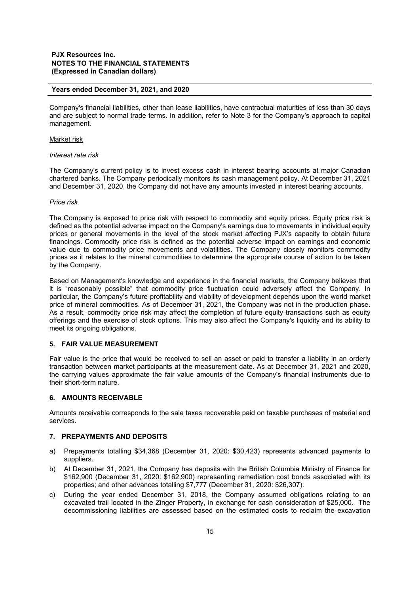## **Years ended December 31, 2021, and 2020**

Company's financial liabilities, other than lease liabilities, have contractual maturities of less than 30 days and are subject to normal trade terms. In addition, refer to Note 3 for the Company's approach to capital management.

#### Market risk

#### *Interest rate risk*

The Company's current policy is to invest excess cash in interest bearing accounts at major Canadian chartered banks. The Company periodically monitors its cash management policy. At December 31, 2021 and December 31, 2020, the Company did not have any amounts invested in interest bearing accounts.

#### *Price risk*

The Company is exposed to price risk with respect to commodity and equity prices. Equity price risk is defined as the potential adverse impact on the Company's earnings due to movements in individual equity prices or general movements in the level of the stock market affecting PJX's capacity to obtain future financings. Commodity price risk is defined as the potential adverse impact on earnings and economic value due to commodity price movements and volatilities. The Company closely monitors commodity prices as it relates to the mineral commodities to determine the appropriate course of action to be taken by the Company.

Based on Management's knowledge and experience in the financial markets, the Company believes that it is "reasonably possible" that commodity price fluctuation could adversely affect the Company. In particular, the Company's future profitability and viability of development depends upon the world market price of mineral commodities. As of December 31, 2021, the Company was not in the production phase. As a result, commodity price risk may affect the completion of future equity transactions such as equity offerings and the exercise of stock options. This may also affect the Company's liquidity and its ability to meet its ongoing obligations.

## **5. FAIR VALUE MEASUREMENT**

Fair value is the price that would be received to sell an asset or paid to transfer a liability in an orderly transaction between market participants at the measurement date. As at December 31, 2021 and 2020, the carrying values approximate the fair value amounts of the Company's financial instruments due to their short-term nature.

## **6. AMOUNTS RECEIVABLE**

Amounts receivable corresponds to the sale taxes recoverable paid on taxable purchases of material and services.

## **7. PREPAYMENTS AND DEPOSITS**

- a) Prepayments totalling \$34,368 (December 31, 2020: \$30,423) represents advanced payments to suppliers.
- b) At December 31, 2021, the Company has deposits with the British Columbia Ministry of Finance for \$162,900 (December 31, 2020: \$162,900) representing remediation cost bonds associated with its properties; and other advances totalling \$7,777 (December 31, 2020: \$26,307).
- c) During the year ended December 31, 2018, the Company assumed obligations relating to an excavated trail located in the Zinger Property, in exchange for cash consideration of \$25,000. The decommissioning liabilities are assessed based on the estimated costs to reclaim the excavation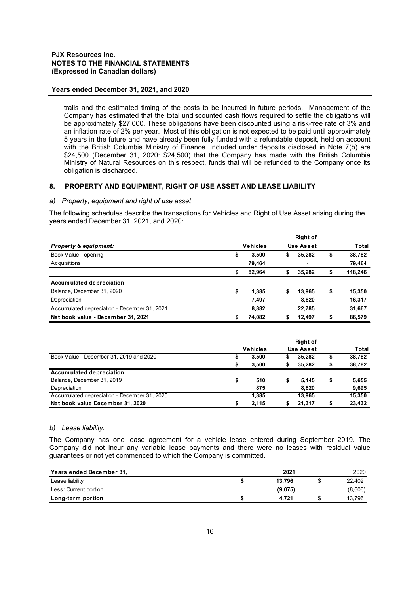## **Years ended December 31, 2021, and 2020**

trails and the estimated timing of the costs to be incurred in future periods. Management of the Company has estimated that the total undiscounted cash flows required to settle the obligations will be approximately \$27,000. These obligations have been discounted using a risk-free rate of 3% and an inflation rate of 2% per year. Most of this obligation is not expected to be paid until approximately 5 years in the future and have already been fully funded with a refundable deposit, held on account with the British Columbia Ministry of Finance. Included under deposits disclosed in Note 7(b) are \$24,500 (December 31, 2020: \$24,500) that the Company has made with the British Columbia Ministry of Natural Resources on this respect, funds that will be refunded to the Company once its obligation is discharged.

#### **8. PROPERTY AND EQUIPMENT, RIGHT OF USE ASSET AND LEASE LIABILITY**

#### *a) Property, equipment and right of use asset*

The following schedules describe the transactions for Vehicles and Right of Use Asset arising during the years ended December 31, 2021, and 2020:

|                                              |    |                 |   | <b>Right of</b>  |    |              |
|----------------------------------------------|----|-----------------|---|------------------|----|--------------|
| <b>Property &amp; equipment:</b>             |    | <b>Vehicles</b> |   | <b>Use Asset</b> |    | <b>Total</b> |
| Book Value - opening                         | \$ | 3,500           |   | 35,282           | \$ | 38,782       |
| Acquisitions                                 |    | 79,464          |   | ۰                |    | 79,464       |
|                                              | æ  | 82.964          | S | 35,282           | S  | 118,246      |
| Accumulated depreciation                     |    |                 |   |                  |    |              |
| Balance, December 31, 2020                   | \$ | 1,385           | S | 13.965           | \$ | 15,350       |
| Depreciation                                 |    | 7,497           |   | 8,820            |    | 16,317       |
| Accumulated depreciation - December 31, 2021 |    | 8.882           |   | 22,785           |    | 31,667       |
| Net book value - December 31, 2021           |    | 74.082          |   | 12.497           |    | 86,579       |

|                                              |   |                 |   | <b>Right of</b> |    |        |
|----------------------------------------------|---|-----------------|---|-----------------|----|--------|
|                                              |   | <b>Vehicles</b> |   | Use Asset       |    | Total  |
| Book Value - December 31, 2019 and 2020      |   | 3.500           |   | 35,282          |    | 38,782 |
|                                              |   | 3.500           |   | 35,282          | Ð  | 38,782 |
| Accumulated depreciation                     |   |                 |   |                 |    |        |
| Balance, December 31, 2019                   | S | 510             | S | 5.145           | \$ | 5,655  |
| Depreciation                                 |   | 875             |   | 8.820           |    | 9,695  |
| Accumulated depreciation - December 31, 2020 |   | 1.385           |   | 13.965          |    | 15,350 |
| Net book value December 31, 2020             |   | 2.115           |   | 21.317          |    | 23.432 |

#### *b) Lease liability:*

The Company has one lease agreement for a vehicle lease entered during September 2019. The Company did not incur any variable lease payments and there were no leases with residual value guarantees or not yet commenced to which the Company is committed.

| Years ended December 31, | 2021    | 2020    |
|--------------------------|---------|---------|
| Lease liability          | 13.796  | 22.402  |
| Less: Current portion    | (9,075) | (8,606) |
| Long-term portion        | 4.721   | 13.796  |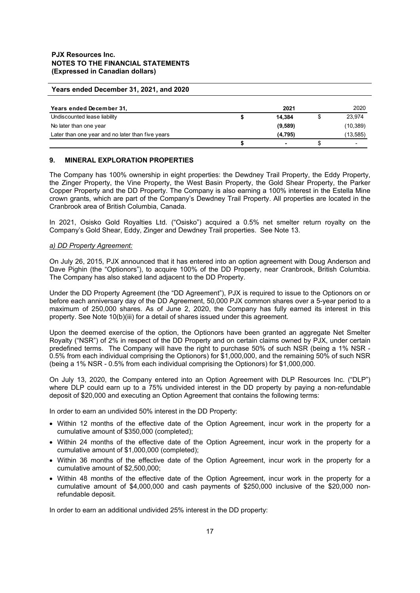## **Years ended December 31, 2021, and 2020**

| Years ended December 31,                         | 2021    | 2020     |
|--------------------------------------------------|---------|----------|
| Undiscounted lease liability                     | 14.384  | 23.974   |
| No later than one year                           | (9,589) | (10,389) |
| Later than one year and no later than five years | (4.795) | (13,585) |
|                                                  |         |          |

#### **9. MINERAL EXPLORATION PROPERTIES**

The Company has 100% ownership in eight properties: the Dewdney Trail Property, the Eddy Property, the Zinger Property, the Vine Property, the West Basin Property, the Gold Shear Property, the Parker Copper Property and the DD Property. The Company is also earning a 100% interest in the Estella Mine crown grants, which are part of the Company's Dewdney Trail Property. All properties are located in the Cranbrook area of British Columbia, Canada.

In 2021, Osisko Gold Royalties Ltd. ("Osisko") acquired a 0.5% net smelter return royalty on the Company's Gold Shear, Eddy, Zinger and Dewdney Trail properties. See Note 13.

#### *a) DD Property Agreement:*

On July 26, 2015, PJX announced that it has entered into an option agreement with Doug Anderson and Dave Pighin (the "Optionors"), to acquire 100% of the DD Property, near Cranbrook, British Columbia. The Company has also staked land adjacent to the DD Property.

Under the DD Property Agreement (the "DD Agreement"), PJX is required to issue to the Optionors on or before each anniversary day of the DD Agreement, 50,000 PJX common shares over a 5-year period to a maximum of 250,000 shares. As of June 2, 2020, the Company has fully earned its interest in this property. See Note 10(b)(iii) for a detail of shares issued under this agreement.

Upon the deemed exercise of the option, the Optionors have been granted an aggregate Net Smelter Royalty ("NSR") of 2% in respect of the DD Property and on certain claims owned by PJX, under certain predefined terms. The Company will have the right to purchase 50% of such NSR (being a 1% NSR - 0.5% from each individual comprising the Optionors) for \$1,000,000, and the remaining 50% of such NSR (being a 1% NSR - 0.5% from each individual comprising the Optionors) for \$1,000,000.

On July 13, 2020, the Company entered into an Option Agreement with DLP Resources Inc. ("DLP") where DLP could earn up to a 75% undivided interest in the DD property by paying a non-refundable deposit of \$20,000 and executing an Option Agreement that contains the following terms:

In order to earn an undivided 50% interest in the DD Property:

- Within 12 months of the effective date of the Option Agreement, incur work in the property for a cumulative amount of \$350,000 (completed);
- Within 24 months of the effective date of the Option Agreement, incur work in the property for a cumulative amount of \$1,000,000 (completed);
- Within 36 months of the effective date of the Option Agreement, incur work in the property for a cumulative amount of \$2,500,000;
- Within 48 months of the effective date of the Option Agreement, incur work in the property for a cumulative amount of \$4,000,000 and cash payments of \$250,000 inclusive of the \$20,000 nonrefundable deposit.

In order to earn an additional undivided 25% interest in the DD property: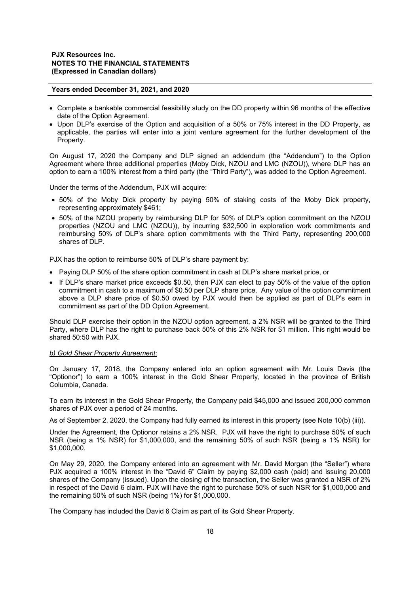## **Years ended December 31, 2021, and 2020**

- Complete a bankable commercial feasibility study on the DD property within 96 months of the effective date of the Option Agreement.
- Upon DLP's exercise of the Option and acquisition of a 50% or 75% interest in the DD Property, as applicable, the parties will enter into a joint venture agreement for the further development of the Property.

On August 17, 2020 the Company and DLP signed an addendum (the "Addendum") to the Option Agreement where three additional properties (Moby Dick, NZOU and LMC (NZOU)), where DLP has an option to earn a 100% interest from a third party (the "Third Party"), was added to the Option Agreement.

Under the terms of the Addendum, PJX will acquire:

- 50% of the Moby Dick property by paying 50% of staking costs of the Moby Dick property, representing approximately \$461;
- 50% of the NZOU property by reimbursing DLP for 50% of DLP's option commitment on the NZOU properties (NZOU and LMC (NZOU)), by incurring \$32,500 in exploration work commitments and reimbursing 50% of DLP's share option commitments with the Third Party, representing 200,000 shares of DLP.

PJX has the option to reimburse 50% of DLP's share payment by:

- Paying DLP 50% of the share option commitment in cash at DLP's share market price, or
- If DLP's share market price exceeds \$0.50, then PJX can elect to pay 50% of the value of the option commitment in cash to a maximum of \$0.50 per DLP share price. Any value of the option commitment above a DLP share price of \$0.50 owed by PJX would then be applied as part of DLP's earn in commitment as part of the DD Option Agreement.

Should DLP exercise their option in the NZOU option agreement, a 2% NSR will be granted to the Third Party, where DLP has the right to purchase back 50% of this 2% NSR for \$1 million. This right would be shared 50:50 with PJX.

#### *b) Gold Shear Property Agreement:*

On January 17, 2018, the Company entered into an option agreement with Mr. Louis Davis (the "Optionor") to earn a 100% interest in the Gold Shear Property, located in the province of British Columbia, Canada.

To earn its interest in the Gold Shear Property, the Company paid \$45,000 and issued 200,000 common shares of PJX over a period of 24 months.

As of September 2, 2020, the Company had fully earned its interest in this property (see Note 10(b) (iii)).

Under the Agreement, the Optionor retains a 2% NSR. PJX will have the right to purchase 50% of such NSR (being a 1% NSR) for \$1,000,000, and the remaining 50% of such NSR (being a 1% NSR) for \$1,000,000.

On May 29, 2020, the Company entered into an agreement with Mr. David Morgan (the "Seller") where PJX acquired a 100% interest in the "David 6" Claim by paying \$2,000 cash (paid) and issuing 20,000 shares of the Company (issued). Upon the closing of the transaction, the Seller was granted a NSR of 2% in respect of the David 6 claim. PJX will have the right to purchase 50% of such NSR for \$1,000,000 and the remaining 50% of such NSR (being 1%) for \$1,000,000.

The Company has included the David 6 Claim as part of its Gold Shear Property.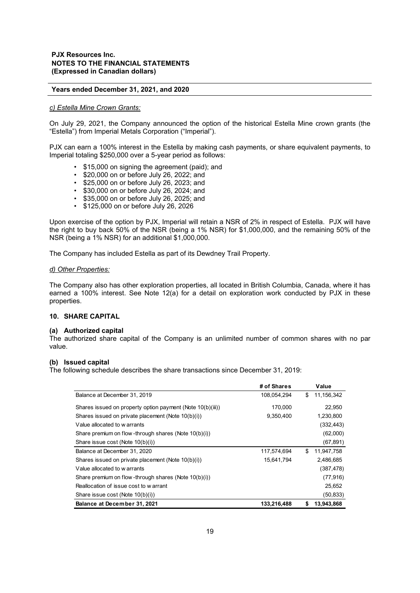## **Years ended December 31, 2021, and 2020**

#### *c) Estella Mine Crown Grants:*

On July 29, 2021, the Company announced the option of the historical Estella Mine crown grants (the "Estella") from Imperial Metals Corporation ("Imperial").

PJX can earn a 100% interest in the Estella by making cash payments, or share equivalent payments, to Imperial totaling \$250,000 over a 5-year period as follows:

- \$15,000 on signing the agreement (paid); and
- \$20,000 on or before July 26, 2022; and
- \$25,000 on or before July 26, 2023; and
- \$30,000 on or before July 26, 2024; and
- \$35,000 on or before July 26, 2025; and
- \$125,000 on or before July 26, 2026

Upon exercise of the option by PJX, Imperial will retain a NSR of 2% in respect of Estella. PJX will have the right to buy back 50% of the NSR (being a 1% NSR) for \$1,000,000, and the remaining 50% of the NSR (being a 1% NSR) for an additional \$1,000,000.

The Company has included Estella as part of its Dewdney Trail Property.

## *d) Other Properties:*

The Company also has other exploration properties, all located in British Columbia, Canada, where it has earned a 100% interest. See Note 12(a) for a detail on exploration work conducted by PJX in these properties.

## **10. SHARE CAPITAL**

## **(a) Authorized capital**

The authorized share capital of the Company is an unlimited number of common shares with no par value.

## **(b) Issued capital**

The following schedule describes the share transactions since December 31, 2019:

|                                                            | # of Shares |    | Value      |
|------------------------------------------------------------|-------------|----|------------|
| Balance at December 31, 2019                               | 108,054,294 | \$ | 11,156,342 |
| Shares issued on property option payment (Note 10(b)(iii)) | 170,000     |    | 22,950     |
| Shares issued on private placement (Note 10(b)(i))         | 9,350,400   |    | 1,230,800  |
| Value allocated to w arrants                               |             |    | (332, 443) |
| Share premium on flow-through shares (Note $10(b)(i)$ )    |             |    | (62,000)   |
| Share issue cost (Note 10(b)(i))                           |             |    | (67, 891)  |
| Balance at December 31, 2020                               | 117,574,694 | \$ | 11,947,758 |
| Shares issued on private placement (Note 10(b)(i))         | 15,641,794  |    | 2,486,685  |
| Value allocated to w arrants                               |             |    | (387, 478) |
| Share premium on flow-through shares (Note 10(b)(i))       |             |    | (77, 916)  |
| Reallocation of issue cost to w arrant                     |             |    | 25,652     |
| Share issue cost (Note 10(b)(i))                           |             |    | (50,833)   |
| Balance at December 31, 2021                               | 133,216,488 | S  | 13,943,868 |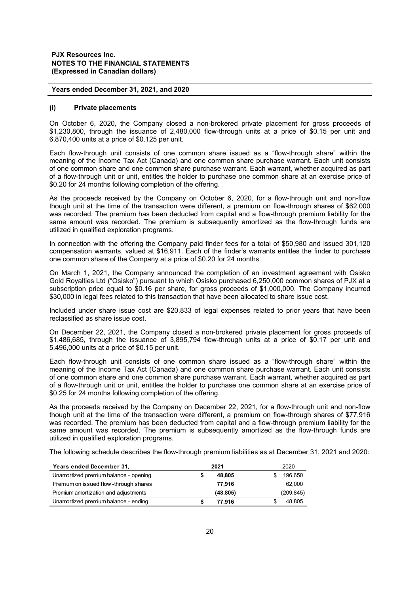## **Years ended December 31, 2021, and 2020**

#### **(i) Private placements**

On October 6, 2020, the Company closed a non-brokered private placement for gross proceeds of \$1,230,800, through the issuance of 2,480,000 flow-through units at a price of \$0.15 per unit and 6,870,400 units at a price of \$0.125 per unit.

Each flow-through unit consists of one common share issued as a "flow-through share" within the meaning of the Income Tax Act (Canada) and one common share purchase warrant. Each unit consists of one common share and one common share purchase warrant. Each warrant, whether acquired as part of a flow-through unit or unit, entitles the holder to purchase one common share at an exercise price of \$0.20 for 24 months following completion of the offering.

As the proceeds received by the Company on October 6, 2020, for a flow-through unit and non-flow though unit at the time of the transaction were different, a premium on flow-through shares of \$62,000 was recorded. The premium has been deducted from capital and a flow-through premium liability for the same amount was recorded. The premium is subsequently amortized as the flow-through funds are utilized in qualified exploration programs.

In connection with the offering the Company paid finder fees for a total of \$50,980 and issued 301,120 compensation warrants, valued at \$16,911. Each of the finder's warrants entitles the finder to purchase one common share of the Company at a price of \$0.20 for 24 months.

On March 1, 2021, the Company announced the completion of an investment agreement with Osisko Gold Royalties Ltd ("Osisko") pursuant to which Osisko purchased 6,250,000 common shares of PJX at a subscription price equal to \$0.16 per share, for gross proceeds of \$1,000,000. The Company incurred \$30,000 in legal fees related to this transaction that have been allocated to share issue cost.

Included under share issue cost are \$20,833 of legal expenses related to prior years that have been reclassified as share issue cost.

On December 22, 2021, the Company closed a non-brokered private placement for gross proceeds of \$1,486,685, through the issuance of 3,895,794 flow-through units at a price of \$0.17 per unit and 5,496,000 units at a price of \$0.15 per unit.

Each flow-through unit consists of one common share issued as a "flow-through share" within the meaning of the Income Tax Act (Canada) and one common share purchase warrant. Each unit consists of one common share and one common share purchase warrant. Each warrant, whether acquired as part of a flow-through unit or unit, entitles the holder to purchase one common share at an exercise price of \$0.25 for 24 months following completion of the offering.

As the proceeds received by the Company on December 22, 2021, for a flow-through unit and non-flow though unit at the time of the transaction were different, a premium on flow-through shares of \$77,916 was recorded. The premium has been deducted from capital and a flow-through premium liability for the same amount was recorded. The premium is subsequently amortized as the flow-through funds are utilized in qualified exploration programs.

The following schedule describes the flow-through premium liabilities as at December 31, 2021 and 2020:

| Years ended December 31,              | 2021     | 2020       |
|---------------------------------------|----------|------------|
| Unamortized premium balance - opening | 48.805   | 196,650    |
| Premium on issued flow-through shares | 77.916   | 62.000     |
| Premium amortization and adjustments  | (48,805) | (209, 845) |
| Unamortized premium balance - ending  | 77.916   | 48,805     |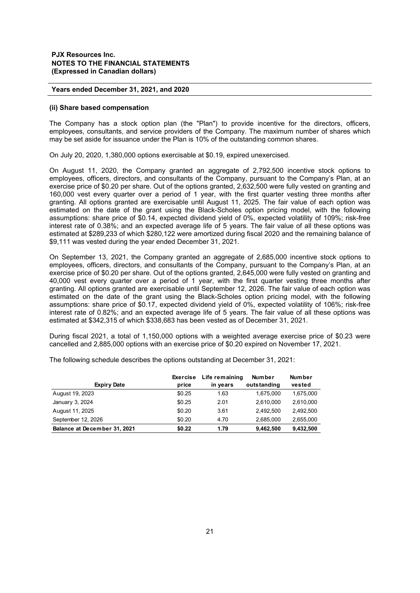## **Years ended December 31, 2021, and 2020**

#### **(ii) Share based compensation**

The Company has a stock option plan (the "Plan") to provide incentive for the directors, officers, employees, consultants, and service providers of the Company. The maximum number of shares which may be set aside for issuance under the Plan is 10% of the outstanding common shares.

On July 20, 2020, 1,380,000 options exercisable at \$0.19, expired unexercised.

On August 11, 2020, the Company granted an aggregate of 2,792,500 incentive stock options to employees, officers, directors, and consultants of the Company, pursuant to the Company's Plan, at an exercise price of \$0.20 per share. Out of the options granted, 2,632,500 were fully vested on granting and 160,000 vest every quarter over a period of 1 year, with the first quarter vesting three months after granting. All options granted are exercisable until August 11, 2025. The fair value of each option was estimated on the date of the grant using the Black-Scholes option pricing model, with the following assumptions: share price of \$0.14, expected dividend yield of 0%, expected volatility of 109%; risk-free interest rate of 0.38%; and an expected average life of 5 years. The fair value of all these options was estimated at \$289,233 of which \$280,122 were amortized during fiscal 2020 and the remaining balance of \$9,111 was vested during the year ended December 31, 2021.

On September 13, 2021, the Company granted an aggregate of 2,685,000 incentive stock options to employees, officers, directors, and consultants of the Company, pursuant to the Company's Plan, at an exercise price of \$0.20 per share. Out of the options granted, 2,645,000 were fully vested on granting and 40,000 vest every quarter over a period of 1 year, with the first quarter vesting three months after granting. All options granted are exercisable until September 12, 2026. The fair value of each option was estimated on the date of the grant using the Black-Scholes option pricing model, with the following assumptions: share price of \$0.17, expected dividend yield of 0%, expected volatility of 106%; risk-free interest rate of 0.82%; and an expected average life of 5 years. The fair value of all these options was estimated at \$342,315 of which \$338,683 has been vested as of December 31, 2021.

During fiscal 2021, a total of 1,150,000 options with a weighted average exercise price of \$0.23 were cancelled and 2,885,000 options with an exercise price of \$0.20 expired on November 17, 2021.

The following schedule describes the options outstanding at December 31, 2021:

| <b>Expiry Date</b>           | <b>Exercise</b><br>price | Life remaining<br>in years | <b>Number</b><br>outstanding | Number<br>vested |
|------------------------------|--------------------------|----------------------------|------------------------------|------------------|
| August 19, 2023              | \$0.25                   | 1.63                       | 1.675.000                    | 1,675,000        |
| January 3, 2024              | \$0.25                   | 2.01                       | 2.610.000                    | 2.610.000        |
| August 11, 2025              | \$0.20                   | 3.61                       | 2.492.500                    | 2.492.500        |
| September 12, 2026           | \$0.20                   | 4.70                       | 2,685,000                    | 2.655.000        |
| Balance at December 31, 2021 | \$0.22                   | 1.79                       | 9,462,500                    | 9,432,500        |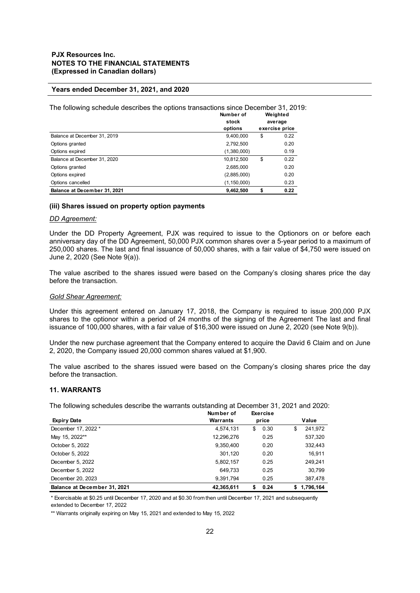## **Years ended December 31, 2021, and 2020**

The following schedule describes the options transactions since December 31, 2019:

|                              | Number of<br>stock | Weighted<br>average |      |
|------------------------------|--------------------|---------------------|------|
|                              | options            | exercise price      |      |
| Balance at December 31, 2019 | 9,400,000          | \$                  | 0.22 |
| Options granted              | 2,792,500          |                     | 0.20 |
| Options expired              | (1,380,000)        |                     | 0.19 |
| Balance at December 31, 2020 | 10,812,500         | \$                  | 0.22 |
| Options granted              | 2,685,000          |                     | 0.20 |
| Options expired              | (2,885,000)        |                     | 0.20 |
| Options cancelled            | (1,150,000)        |                     | 0.23 |
| Balance at December 31, 2021 | 9,462,500          | \$                  | 0.22 |

#### **(iii) Shares issued on property option payments**

#### *DD Agreement:*

Under the DD Property Agreement, PJX was required to issue to the Optionors on or before each anniversary day of the DD Agreement, 50,000 PJX common shares over a 5-year period to a maximum of 250,000 shares. The last and final issuance of 50,000 shares, with a fair value of \$4,750 were issued on June 2, 2020 (See Note 9(a)).

The value ascribed to the shares issued were based on the Company's closing shares price the day before the transaction.

#### *Gold Shear Agreement:*

Under this agreement entered on January 17, 2018, the Company is required to issue 200,000 PJX shares to the optionor within a period of 24 months of the signing of the Agreement The last and final issuance of 100,000 shares, with a fair value of \$16,300 were issued on June 2, 2020 (see Note 9(b)).

Under the new purchase agreement that the Company entered to acquire the David 6 Claim and on June 2, 2020, the Company issued 20,000 common shares valued at \$1,900.

The value ascribed to the shares issued were based on the Company's closing shares price the day before the transaction.

## **11. WARRANTS**

The following schedules describe the warrants outstanding at December 31, 2021 and 2020:

|                              | Number of  | <b>Exercise</b> |    |           |
|------------------------------|------------|-----------------|----|-----------|
| <b>Expiry Date</b>           | Warrants   | price           |    | Value     |
| December 17, 2022 *          | 4,574,131  | \$<br>0.30      | \$ | 241,972   |
| May 15, 2022**               | 12,296,276 | 0.25            |    | 537,320   |
| October 5, 2022              | 9,350,400  | 0.20            |    | 332,443   |
| October 5, 2022              | 301,120    | 0.20            |    | 16.911    |
| December 5, 2022             | 5,802,157  | 0.25            |    | 249,241   |
| December 5, 2022             | 649.733    | 0.25            |    | 30,799    |
| December 20, 2023            | 9,391,794  | 0.25            |    | 387,478   |
| Balance at December 31, 2021 | 42.365.611 | 0.24            | S  | 1,796,164 |

\* Exercisable at \$0.25 until December 17, 2020 and at \$0.30 from then until December 17, 2021 and subsequently extended to December 17, 2022

\*\* Warrants originally expiring on May 15, 2021 and extended to May 15, 2022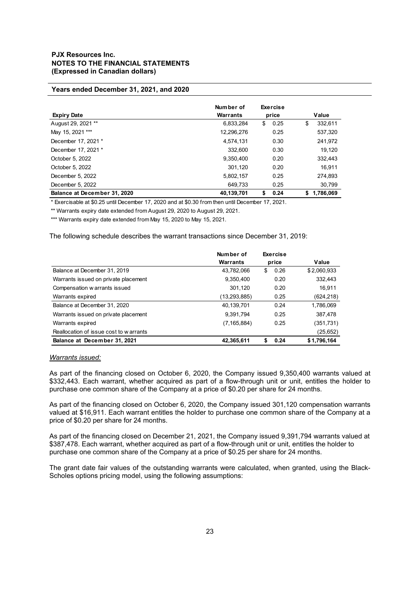## **Years ended December 31, 2021, and 2020**

|                              | Number of  | Exercise   |                |
|------------------------------|------------|------------|----------------|
| <b>Expiry Date</b>           | Warrants   | price      | Value          |
| August 29, 2021 **           | 6,833,284  | 0.25<br>\$ | 332,611<br>\$  |
| May 15, 2021 ***             | 12,296,276 | 0.25       | 537,320        |
| December 17, 2021 *          | 4,574,131  | 0.30       | 241,972        |
| December 17, 2021 *          | 332.600    | 0.30       | 19,120         |
| October 5, 2022              | 9,350,400  | 0.20       | 332,443        |
| October 5, 2022              | 301.120    | 0.20       | 16.911         |
| December 5, 2022             | 5,802,157  | 0.25       | 274,893        |
| December 5, 2022             | 649.733    | 0.25       | 30,799         |
| Balance at December 31, 2020 | 40,139,701 | \$<br>0.24 | 1,786,069<br>S |

\* Exercisable at \$0.25 until December 17, 2020 and at \$0.30 from then until December 17, 2021.

\*\* Warrants expiry date extended from August 29, 2020 to August 29, 2021.

\*\*\* Warrants expiry date extended from May 15, 2020 to May 15, 2021.

#### The following schedule describes the warrant transactions since December 31, 2019:

|                                         | Number of      |   | <b>Exercise</b> |             |
|-----------------------------------------|----------------|---|-----------------|-------------|
|                                         | Warrants       |   | price           | Value       |
| Balance at December 31, 2019            | 43,782,066     | S | 0.26            | \$2,060,933 |
| Warrants issued on private placement    | 9,350,400      |   | 0.20            | 332,443     |
| Compensation w arrants issued           | 301,120        |   | 0.20            | 16,911      |
| Warrants expired                        | (13, 293, 885) |   | 0.25            | (624, 218)  |
| Balance at December 31, 2020            | 40,139,701     |   | 0.24            | 1,786,069   |
| Warrants issued on private placement    | 9,391,794      |   | 0.25            | 387,478     |
| Warrants expired                        | (7, 165, 884)  |   | 0.25            | (351, 731)  |
| Reallocation of issue cost to w arrants |                |   |                 | (25, 652)   |
| Balance at December 31, 2021            | 42,365,611     | S | 0.24            | \$1,796,164 |

#### *Warrants issued:*

As part of the financing closed on October 6, 2020, the Company issued 9,350,400 warrants valued at \$332,443. Each warrant, whether acquired as part of a flow-through unit or unit, entitles the holder to purchase one common share of the Company at a price of \$0.20 per share for 24 months.

As part of the financing closed on October 6, 2020, the Company issued 301,120 compensation warrants valued at \$16,911. Each warrant entitles the holder to purchase one common share of the Company at a price of \$0.20 per share for 24 months.

As part of the financing closed on December 21, 2021, the Company issued 9,391,794 warrants valued at \$387,478. Each warrant, whether acquired as part of a flow-through unit or unit, entitles the holder to purchase one common share of the Company at a price of \$0.25 per share for 24 months.

The grant date fair values of the outstanding warrants were calculated, when granted, using the Black-Scholes options pricing model, using the following assumptions: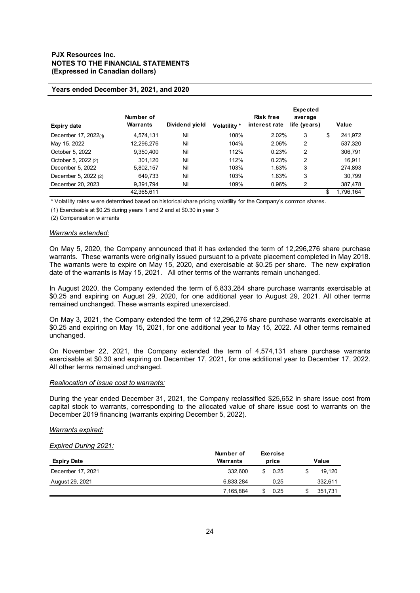| <b>Expiry date</b>   | Number of<br>Warrants | Dividend yield | Volatility * | <b>Risk free</b><br>interest rate | <b>Expected</b><br>average<br>life (years) | Value           |
|----------------------|-----------------------|----------------|--------------|-----------------------------------|--------------------------------------------|-----------------|
| December 17, 2022(1) | 4,574,131             | Nil            | 108%         | 2.02%                             | 3                                          | \$<br>241,972   |
| May 15, 2022         | 12,296,276            | Nil            | 104%         | 2.06%                             | 2                                          | 537,320         |
| October 5, 2022      | 9,350,400             | Nil            | 112%         | 0.23%                             | 2                                          | 306,791         |
| October 5, 2022 (2)  | 301.120               | Nil            | 112%         | 0.23%                             | 2                                          | 16.911          |
| December 5, 2022     | 5,802,157             | Nil            | 103%         | 1.63%                             | 3                                          | 274,893         |
| December 5, 2022 (2) | 649.733               | Nil            | 103%         | 1.63%                             | 3                                          | 30.799          |
| December 20, 2023    | 9.391.794             | Nil            | 109%         | 0.96%                             | 2                                          | 387,478         |
|                      | 42,365,611            |                |              |                                   |                                            | \$<br>1,796,164 |

#### **Years ended December 31, 2021, and 2020**

\* Volatility rates w ere determined based on historical share pricing volatility for the Company's common shares.

(1) Exercisable at \$0.25 during years 1 and 2 and at \$0.30 in year 3

(2) Compensation w arrants

#### *Warrants extended:*

On May 5, 2020, the Company announced that it has extended the term of 12,296,276 share purchase warrants. These warrants were originally issued pursuant to a private placement completed in May 2018. The warrants were to expire on May 15, 2020, and exercisable at \$0.25 per share. The new expiration date of the warrants is May 15, 2021. All other terms of the warrants remain unchanged.

In August 2020, the Company extended the term of 6,833,284 share purchase warrants exercisable at \$0.25 and expiring on August 29, 2020, for one additional year to August 29, 2021. All other terms remained unchanged. These warrants expired unexercised.

On May 3, 2021, the Company extended the term of 12,296,276 share purchase warrants exercisable at \$0.25 and expiring on May 15, 2021, for one additional year to May 15, 2022. All other terms remained unchanged.

On November 22, 2021, the Company extended the term of 4,574,131 share purchase warrants exercisable at \$0.30 and expiring on December 17, 2021, for one additional year to December 17, 2022. All other terms remained unchanged.

#### *Reallocation of issue cost to warrants:*

During the year ended December 31, 2021, the Company reclassified \$25,652 in share issue cost from capital stock to warrants, corresponding to the allocated value of share issue cost to warrants on the December 2019 financing (warrants expiring December 5, 2022).

#### *Warrants expired:*

#### *Expired During 2021:*

| Number of          |           |       | Exercise |       |         |
|--------------------|-----------|-------|----------|-------|---------|
| <b>Expiry Date</b> | Warrants  | price |          | Value |         |
| December 17, 2021  | 332.600   | \$.   | 0.25     |       | 19.120  |
| August 29, 2021    | 6,833,284 |       | 0.25     |       | 332,611 |
|                    | 7,165,884 | S.    | 0.25     |       | 351.731 |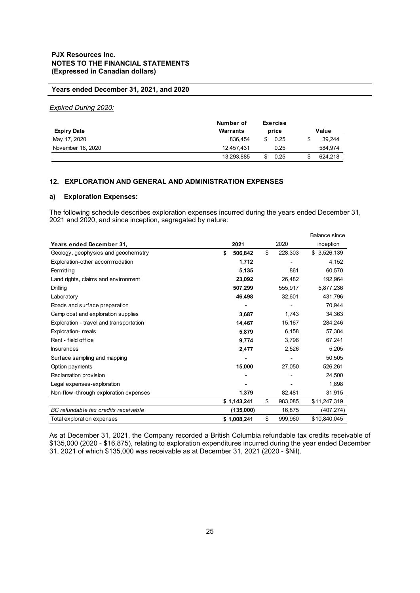## **Years ended December 31, 2021, and 2020**

## *Expired During 2020:*

|                    | Number of  | Exercise |  |         |  |
|--------------------|------------|----------|--|---------|--|
| <b>Expiry Date</b> | Warrants   | price    |  | Value   |  |
| May 17, 2020       | 836.454    | 0.25     |  | 39.244  |  |
| November 18, 2020  | 12.457.431 | 0.25     |  | 584.974 |  |
|                    | 13,293,885 | 0.25     |  | 624.218 |  |

#### **12. EXPLORATION AND GENERAL AND ADMINISTRATION EXPENSES**

## **a) Exploration Expenses:**

The following schedule describes exploration expenses incurred during the years ended December 31, 2021 and 2020, and since inception, segregated by nature:

|                                         |               |               | <b>Balance since</b> |  |
|-----------------------------------------|---------------|---------------|----------------------|--|
| Years ended December 31,                | 2021          | 2020          | inception            |  |
| Geology, geophysics and geochemistry    | \$<br>506,842 | \$<br>228,303 | \$3,526,139          |  |
| Exploration-other accommodation         | 1,712         |               | 4,152                |  |
| Permitting                              | 5,135         | 861           | 60,570               |  |
| Land rights, claims and environment     | 23,092        | 26,482        | 192,964              |  |
| Drilling                                | 507,299       | 555,917       | 5,877,236            |  |
| Laboratory                              | 46,498        | 32,601        | 431,796              |  |
| Roads and surface preparation           |               |               | 70,944               |  |
| Camp cost and exploration supplies      | 3.687         | 1,743         | 34,363               |  |
| Exploration - travel and transportation | 14,467        | 15,167        | 284,246              |  |
| Exploration- meals                      | 5.879         | 6,158         | 57,384               |  |
| Rent - field office                     | 9,774         | 3,796         | 67,241               |  |
| <b>Insurances</b>                       | 2,477         | 2,526         | 5,205                |  |
| Surface sampling and mapping            |               | 50,505        |                      |  |
| Option payments                         | 15,000        | 27,050        | 526,261              |  |
| Reclamation provision                   |               |               | 24,500               |  |
| Legal expenses-exploration              |               |               | 1,898                |  |
| Non-flow-through exploration expenses   | 1,379         | 82,481        | 31,915               |  |
|                                         | \$1,143,241   | \$<br>983,085 | \$11,247,319         |  |
| BC refundable tax credits receivable    | (135,000)     | 16,875        | (407, 274)           |  |
| Total exploration expenses              | \$1,008,241   | \$<br>999,960 | \$10,840,045         |  |

As at December 31, 2021, the Company recorded a British Columbia refundable tax credits receivable of \$135,000 (2020 - \$16,875), relating to exploration expenditures incurred during the year ended December 31, 2021 of which \$135,000 was receivable as at December 31, 2021 (2020 - \$Nil).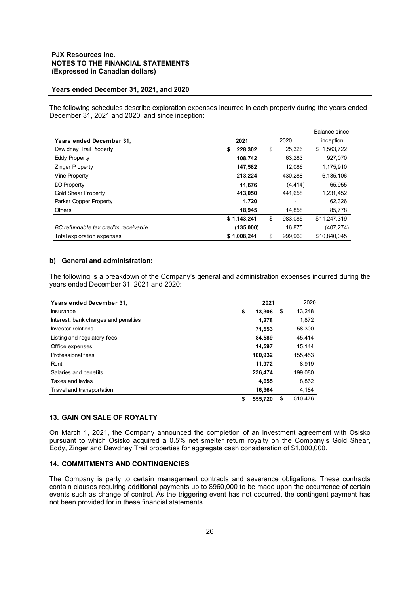## **Years ended December 31, 2021, and 2020**

The following schedules describe exploration expenses incurred in each property during the years ended December 31, 2021 and 2020, and since inception:

|                                      |               |      |          | Balance since   |
|--------------------------------------|---------------|------|----------|-----------------|
| Years ended December 31,             | 2021          | 2020 |          | inception       |
| Dew dney Trail Property              | \$<br>228,302 | \$   | 25,326   | 1,563,722<br>\$ |
| <b>Eddy Property</b>                 | 108,742       |      | 63,283   | 927,070         |
| <b>Zinger Property</b>               | 147,582       |      | 12.086   | 1,175,910       |
| Vine Property                        | 213,224       |      | 430,288  | 6,135,106       |
| DD Property                          | 11,676        |      | (4, 414) | 65,955          |
| <b>Gold Shear Property</b>           | 413,050       |      | 441.658  | 1,231,452       |
| Parker Copper Property               | 1,720         |      |          | 62,326          |
| <b>Others</b>                        | 18,945        |      | 14,858   | 85,778          |
|                                      | \$1,143,241   | \$   | 983,085  | \$11,247,319    |
| BC refundable tax credits receivable | (135,000)     |      | 16,875   | (407,274)       |
| Total exploration expenses           | \$1.008.241   | \$   | 999.960  | \$10.840.045    |

#### **b) General and administration:**

The following is a breakdown of the Company's general and administration expenses incurred during the years ended December 31, 2021 and 2020:

| Years ended December 31,             | 2021          | 2020          |
|--------------------------------------|---------------|---------------|
| <b>Insurance</b>                     | \$<br>13,306  | \$<br>13,248  |
| Interest, bank charges and penalties | 1.278         | 1,872         |
| Investor relations                   | 71.553        | 58,300        |
| Listing and regulatory fees          | 84,589        | 45.414        |
| Office expenses                      | 14,597        | 15,144        |
| Professional fees                    | 100,932       | 155,453       |
| Rent                                 | 11.972        | 8.919         |
| Salaries and benefits                | 236,474       | 199,080       |
| Taxes and levies                     | 4,655         | 8,862         |
| Travel and transportation            | 16.364        | 4,184         |
|                                      | \$<br>555.720 | \$<br>510.476 |

#### **13. GAIN ON SALE OF ROYALTY**

On March 1, 2021, the Company announced the completion of an investment agreement with Osisko pursuant to which Osisko acquired a 0.5% net smelter return royalty on the Company's Gold Shear, Eddy, Zinger and Dewdney Trail properties for aggregate cash consideration of \$1,000,000.

#### **14. COMMITMENTS AND CONTINGENCIES**

The Company is party to certain management contracts and severance obligations. These contracts contain clauses requiring additional payments up to \$960,000 to be made upon the occurrence of certain events such as change of control. As the triggering event has not occurred, the contingent payment has not been provided for in these financial statements.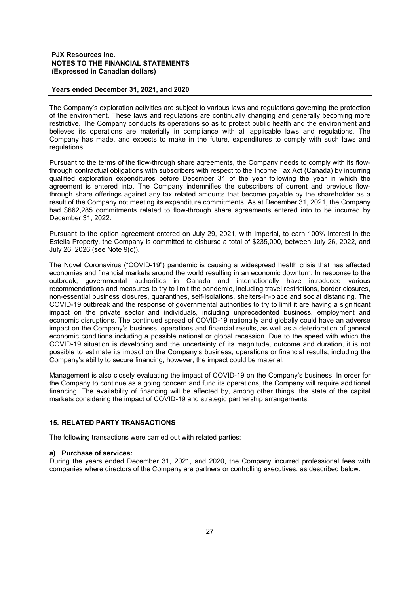## **Years ended December 31, 2021, and 2020**

The Company's exploration activities are subject to various laws and regulations governing the protection of the environment. These laws and regulations are continually changing and generally becoming more restrictive. The Company conducts its operations so as to protect public health and the environment and believes its operations are materially in compliance with all applicable laws and regulations. The Company has made, and expects to make in the future, expenditures to comply with such laws and regulations.

Pursuant to the terms of the flow-through share agreements, the Company needs to comply with its flowthrough contractual obligations with subscribers with respect to the Income Tax Act (Canada) by incurring qualified exploration expenditures before December 31 of the year following the year in which the agreement is entered into. The Company indemnifies the subscribers of current and previous flowthrough share offerings against any tax related amounts that become payable by the shareholder as a result of the Company not meeting its expenditure commitments. As at December 31, 2021, the Company had \$662,285 commitments related to flow-through share agreements entered into to be incurred by December 31, 2022.

Pursuant to the option agreement entered on July 29, 2021, with Imperial, to earn 100% interest in the Estella Property, the Company is committed to disburse a total of \$235,000, between July 26, 2022, and July 26, 2026 (see Note 9(c)).

The Novel Coronavirus ("COVID-19") pandemic is causing a widespread health crisis that has affected economies and financial markets around the world resulting in an economic downturn. In response to the outbreak, governmental authorities in Canada and internationally have introduced various recommendations and measures to try to limit the pandemic, including travel restrictions, border closures, non-essential business closures, quarantines, self-isolations, shelters-in-place and social distancing. The COVID-19 outbreak and the response of governmental authorities to try to limit it are having a significant impact on the private sector and individuals, including unprecedented business, employment and economic disruptions. The continued spread of COVID-19 nationally and globally could have an adverse impact on the Company's business, operations and financial results, as well as a deterioration of general economic conditions including a possible national or global recession. Due to the speed with which the COVID-19 situation is developing and the uncertainty of its magnitude, outcome and duration, it is not possible to estimate its impact on the Company's business, operations or financial results, including the Company's ability to secure financing; however, the impact could be material.

Management is also closely evaluating the impact of COVID-19 on the Company's business. In order for the Company to continue as a going concern and fund its operations, the Company will require additional financing. The availability of financing will be affected by, among other things, the state of the capital markets considering the impact of COVID-19 and strategic partnership arrangements.

## **15. RELATED PARTY TRANSACTIONS**

The following transactions were carried out with related parties:

## **a) Purchase of services:**

During the years ended December 31, 2021, and 2020, the Company incurred professional fees with companies where directors of the Company are partners or controlling executives, as described below: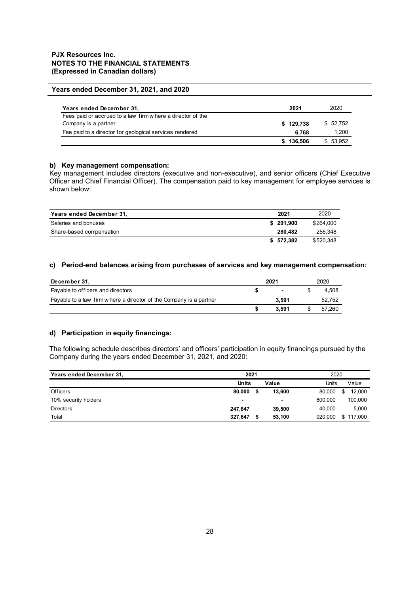#### **Years ended December 31, 2021, and 2020**

| Years ended December 31,                                   | 2021      | 2020     |
|------------------------------------------------------------|-----------|----------|
| Fees paid or accrued to a law firm where a director of the |           |          |
| Company is a partner                                       | \$129.738 | \$52.752 |
| Fee paid to a director for geological services rendered    | 6.768     | 1.200    |
|                                                            | 136.506   | \$53,952 |

## **b) Key management compensation:**

Key management includes directors (executive and non-executive), and senior officers (Chief Executive Officer and Chief Financial Officer). The compensation paid to key management for employee services is shown below:

| Years ended December 31, | 2021      | 2020      |
|--------------------------|-----------|-----------|
| Salaries and bonuses     | \$291.900 | \$264.000 |
| Share-based compensation | 280.482   | 256,348   |
|                          | \$572.382 | \$520,348 |

## **c) Period-end balances arising from purchases of services and key management compensation:**

| December 31,                                                       | 2021 |        | 2020   |  |
|--------------------------------------------------------------------|------|--------|--------|--|
| Payable to officers and directors                                  |      | $\sim$ | 4.508  |  |
| Payable to a law firm where a director of the Company is a partner |      | 3.591  | 52,752 |  |
|                                                                    |      | 3.591  | 57,260 |  |

## **d) Participation in equity financings:**

The following schedule describes directors' and officers' participation in equity financings pursued by the Company during the years ended December 31, 2021, and 2020:

| Years ended December 31, | 2021         |   |                          |         | 2020          |  |
|--------------------------|--------------|---|--------------------------|---------|---------------|--|
|                          | <b>Units</b> |   | Value                    | Units   | Value         |  |
| <b>Officers</b>          | 80,000       | S | 13.600                   | 80,000  | 12,000<br>\$. |  |
| 10% security holders     |              |   | $\overline{\phantom{a}}$ | 800.000 | 100,000       |  |
| <b>Directors</b>         | 247.647      |   | 39.500                   | 40.000  | 5,000         |  |
| Total                    | 327,647      |   | 53.100                   | 920.000 | 117.000<br>\$ |  |